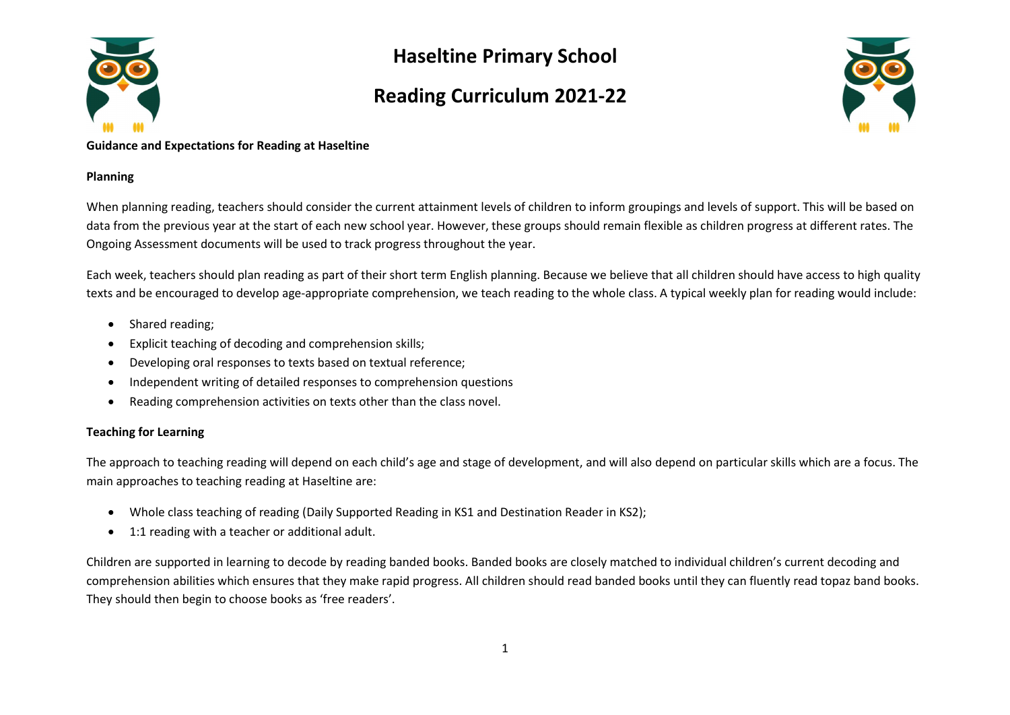

## Haseltine Primary School

### Reading Curriculum 2021-22



#### Guidance and Expectations for Reading at Haseltine

### Planning

When planning reading, teachers should consider the current attainment levels of children to inform groupings and levels of support. This will be based on data from the previous year at the start of each new school year. However, these groups should remain flexible as children progress at different rates. The Ongoing Assessment documents will be used to track progress throughout the year.

Each week, teachers should plan reading as part of their short term English planning. Because we believe that all children should have access to high quality texts and be encouraged to develop age-appropriate comprehension, we teach reading to the whole class. A typical weekly plan for reading would include:

- Shared reading;
- Explicit teaching of decoding and comprehension skills;
- Developing oral responses to texts based on textual reference;
- Independent writing of detailed responses to comprehension questions
- Reading comprehension activities on texts other than the class novel.

### Teaching for Learning

The approach to teaching reading will depend on each child's age and stage of development, and will also depend on particular skills which are a focus. The main approaches to teaching reading at Haseltine are:

- Whole class teaching of reading (Daily Supported Reading in KS1 and Destination Reader in KS2);
- 1:1 reading with a teacher or additional adult.

Children are supported in learning to decode by reading banded books. Banded books are closely matched to individual children's current decoding and comprehension abilities which ensures that they make rapid progress. All children should read banded books until they can fluently read topaz band books. They should then begin to choose books as 'free readers'.